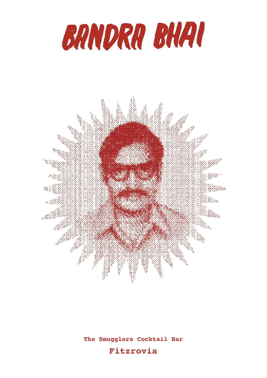



**The Smugglers Cocktail Bar** 

### **Fitzrovia**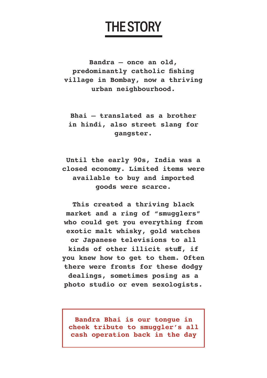## THE STORY

**Bandra – once an old, predominantly catholic fshing village in Bombay, now a thriving urban neighbourhood.**

**Bhai – translated as a brother in hindi, also street slang for gangster.**

**Until the early 90s, India was a closed economy. Limited items were available to buy and imported goods were scarce.**

**This created a thriving black market and a ring of "smugglers" who could get you everything from exotic malt whisky, gold watches or Japanese televisions to all kinds of other illicit stuf, if you knew how to get to them. Often there were fronts for these dodgy dealings, sometimes posing as a photo studio or even sexologists.**

**Bandra Bhai is our tongue in cheek tribute to smuggler's all cash operation back in the day**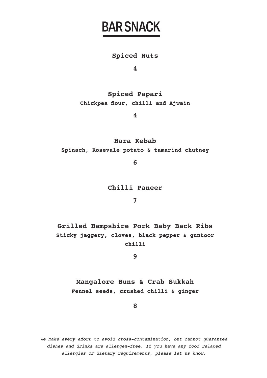### BAR SNACK

#### **Spiced Nuts**

**4**

**Spiced Papari Chickpea four, chilli and Ajwain**

**4**

**Hara Kebab**

**Spinach, Rosevale potato & tamarind chutney**

**6**

**Chilli Paneer**

**7**

**Grilled Hampshire Pork Baby Back Ribs Sticky jaggery, cloves, black pepper & guntoor chilli**

**9**

**Mangalore Buns & Crab Sukkah Fennel seeds, crushed chilli & ginger**

**8**

We make every effort to avoid cross-contamination, but cannot quarantee dishes and drinks are allergen-free. If you have any food related allergies or dietary requirements, please let us know.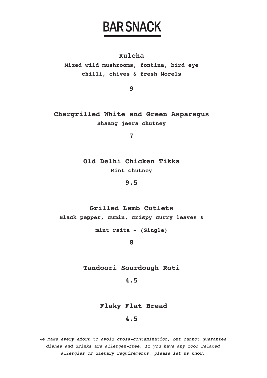### BAR SNACK

#### **Kulcha**

**Mixed wild mushrooms, fontina, bird eye chilli, chives & fresh Morels**

**9**

**Chargrilled White and Green Asparagus Bhaang jeera chutney**

**7**

**Old Delhi Chicken Tikka Mint chutney**

**9.5**

**Grilled Lamb Cutlets Black pepper, cumin, crispy curry leaves &** 

**mint raita - (Single)**

**8** 

**Tandoori Sourdough Roti**

**4.5**

#### **Flaky Flat Bread**

#### **4.5**

We make every efort to avoid cross-contamination, but cannot guarantee dishes and drinks are allergen-free. If you have any food related allergies or dietary requirements, please let us know.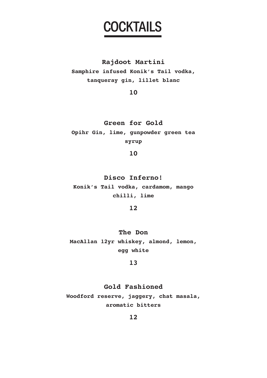### **COCKTAILS**

#### **Rajdoot Martini**

**Samphire infused Konik's Tail vodka, tanqueray gin, lillet blanc** 

**10**

**Green for Gold Opihr Gin, lime, gunpowder green tea syrup**

**10**

**Disco Inferno! Konik's Tail vodka, cardamom, mango chilli, lime**

**12**

**The Don MacAllan 12yr whiskey, almond, lemon, egg white**

**13**

**Gold Fashioned Woodford reserve, jaggery, chat masala, aromatic bitters**

**12**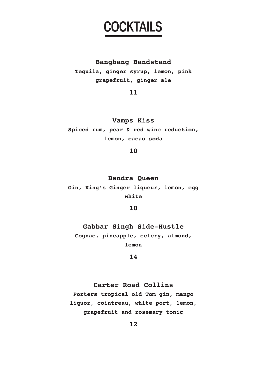### **COCKTAILS**

#### **Bangbang Bandstand**

**Tequila, ginger syrup, lemon, pink grapefruit, ginger ale**

**11**

**Vamps Kiss Spiced rum, pear & red wine reduction, lemon, cacao soda**

**10**

**Bandra Queen Gin, King's Ginger liqueur, lemon, egg white**

**10**

**Gabbar Singh Side-Hustle Cognac, pineapple, celery, almond, lemon**

**14**

#### **Carter Road Collins**

**Porters tropical old Tom gin, mango liquor, cointreau, white port, lemon, grapefruit and rosemary tonic**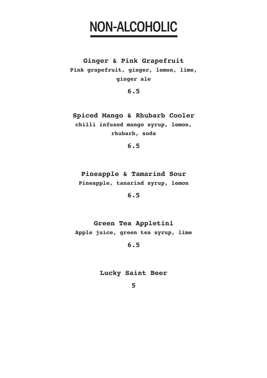### NON-ALCOHOLIC

**Ginger & Pink Grapefruit Pink grapefruit, ginger, lemon, lime, ginger ale**

**6.5**

**Spiced Mango & Rhubarb Cooler chilli infused mango syrup, lemon, rhubarb, soda**

**6.5**

**Pineapple & Tamarind Sour Pineapple, tanarind syrup, lemon**

**6.5**

**Green Tea Appletini Apple juice, green tea syrup, lime**

**6.5**

**Lucky Saint Beer**

**5**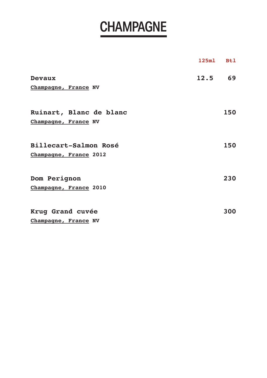# **CHAMPAGNE**

|                         | 125m1 | <b>Btl</b> |
|-------------------------|-------|------------|
| Devaux                  | 12.5  | 69         |
| Champagne, France NV    |       |            |
| Ruinart, Blanc de blanc |       | 150        |
| Champagne, France NV    |       |            |
| Billecart-Salmon Rosé   |       | 150        |
| Champagne, France 2012  |       |            |
| Dom Perignon            |       | 230        |
| Champagne, France 2010  |       |            |
| Krug Grand cuvée        |       | 300        |
| Champagne, France NV    |       |            |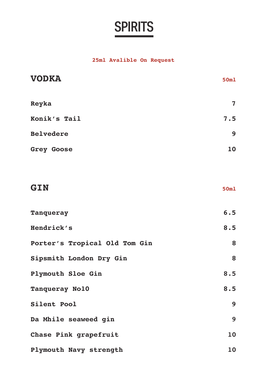#### **25ml Avalible On Request**

| <b>VODKA</b>                  | 50m1 |
|-------------------------------|------|
| Reyka                         | 7    |
| Konik's Tail                  | 7.5  |
| <b>Belvedere</b>              | 9    |
| Grey Goose                    | 10   |
|                               |      |
| GIN                           | 50m1 |
| Tanqueray                     | 6.5  |
| Hendrick's                    | 8.5  |
| Porter's Tropical Old Tom Gin | 8    |
| Sipsmith London Dry Gin       | 8    |
| Plymouth Sloe Gin             | 8.5  |
| Tanqueray No10                | 8.5  |
| Silent Pool                   | 9    |
| Da Mhile seaweed gin          | 9    |
| Chase Pink grapefruit         | 10   |
| Plymouth Navy strength        | 10   |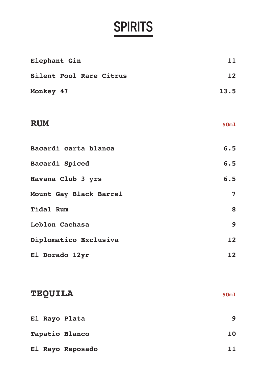| Elephant Gin            | 11             |
|-------------------------|----------------|
| Silent Pool Rare Citrus | 12             |
| Monkey 47               | 13.5           |
|                         |                |
| <b>RUM</b>              | 50ml           |
|                         |                |
| Bacardi carta blanca    | 6.5            |
| Bacardi Spiced          | 6.5            |
| Havana Club 3 yrs       | 6.5            |
| Mount Gay Black Barrel  | $\overline{7}$ |
| Tidal Rum               | 8              |
| Leblon Cachasa          | 9              |
| Diplomatico Exclusiva   | 12             |
| El Dorado 12yr          | 12             |
|                         |                |
|                         |                |
| <b>TEQUILA</b>          | 50m1           |
| El Rayo Plata           | 9              |
| Tapatio Blanco          | 10             |
| El Rayo Reposado        | 11             |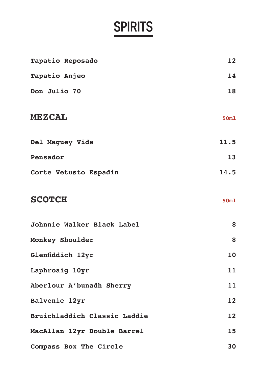| Tapatio Reposado             | 12               |
|------------------------------|------------------|
| Tapatio Anjeo                | 14               |
| Don Julio 70                 | 18               |
| <b>MEZCAL</b>                | 50ml             |
| Del Maguey Vida              | 11.5             |
| Pensador                     | 13               |
| Corte Vetusto Espadin        | 14.5             |
| <b>SCOTCH</b>                | 50 <sub>m1</sub> |
| Johnnie Walker Black Label   | 8                |
| Monkey Shoulder              | 8                |
| Glenfiddich 12yr             | 10               |
| Laphroaig 10yr               | 11               |
| Aberlour A'bunadh Sherry     | 11               |
| Balvenie 12yr                | 12               |
| Bruichladdich Classic Laddie | 12               |
| MacAllan 12yr Double Barrel  | 15               |
| Compass Box The Circle       | 30               |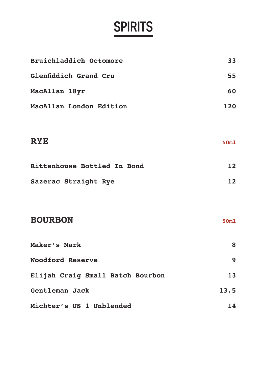| Bruichladdich Octomore           | 33   |
|----------------------------------|------|
| Glenfiddich Grand Cru            | 55   |
| MacAllan 18yr                    | 60   |
| MacAllan London Edition          | 120  |
|                                  |      |
| <b>RYE</b>                       | 50ml |
| Rittenhouse Bottled In Bond      | 12   |
| Sazerac Straight Rye             | 12   |
|                                  |      |
| <b>BOURBON</b>                   | 50ml |
| Maker's Mark                     | 8    |
| <b>Woodford Reserve</b>          | 9    |
| Elijah Craig Small Batch Bourbon | 13   |
| Gentleman Jack                   | 13.5 |
| Michter's US 1 Unblended         | 14   |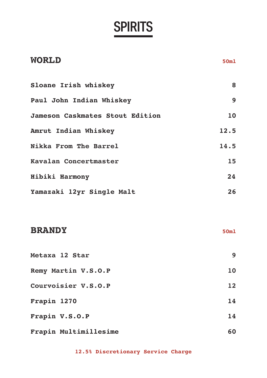| <b>WORLD</b>                    | 50ml |
|---------------------------------|------|
| Sloane Irish whiskey            | 8    |
| Paul John Indian Whiskey        | 9    |
| Jameson Caskmates Stout Edition | 10   |
| Amrut Indian Whiskey            | 12.5 |
| Nikka From The Barrel           | 14.5 |
| Kavalan Concertmaster           | 15   |
| Hibiki Harmony                  | 24   |
| Yamazaki 12yr Single Malt       | 26   |
| <b>BRANDY</b>                   | 50m1 |
| Metaxa 12 Star                  | 9    |
| Remy Martin V.S.O.P             | 10   |
| Courvoisier V.S.O.P             | 12   |
| Frapin 1270                     | 14   |
| Frapin V.S.O.P                  | 14   |
| Frapin Multimillesime           | 60   |